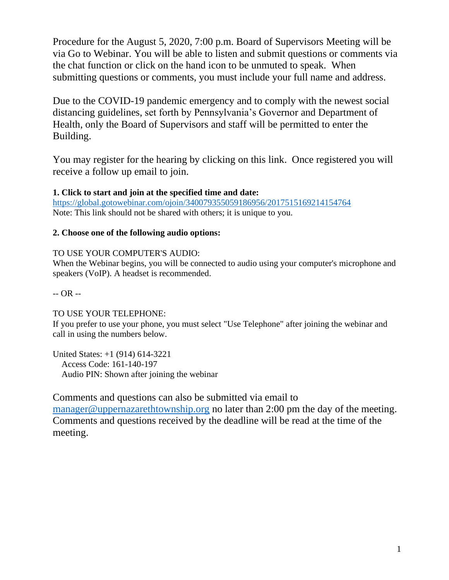Procedure for the August 5, 2020, 7:00 p.m. Board of Supervisors Meeting will be via Go to Webinar. You will be able to listen and submit questions or comments via the chat function or click on the hand icon to be unmuted to speak. When submitting questions or comments, you must include your full name and address.

Due to the COVID-19 pandemic emergency and to comply with the newest social distancing guidelines, set forth by Pennsylvania's Governor and Department of Health, only the Board of Supervisors and staff will be permitted to enter the Building.

You may register for the hearing by clicking on this link. Once registered you will receive a follow up email to join.

**1. Click to start and join at the specified time and date:** <https://global.gotowebinar.com/ojoin/340079355059186956/2017515169214154764> Note: This link should not be shared with others; it is unique to you.

## **2. Choose one of the following audio options:**

## TO USE YOUR COMPUTER'S AUDIO:

When the Webinar begins, you will be connected to audio using your computer's microphone and speakers (VoIP). A headset is recommended.

-- OR --

## TO USE YOUR TELEPHONE:

If you prefer to use your phone, you must select "Use Telephone" after joining the webinar and call in using the numbers below.

United States: +1 (914) 614-3221 Access Code: 161-140-197 Audio PIN: Shown after joining the webinar

Comments and questions can also be submitted via email to [manager@uppernazarethtownship.org](mailto:manager@uppernazarethtownship.org) no later than 2:00 pm the day of the meeting. Comments and questions received by the deadline will be read at the time of the meeting.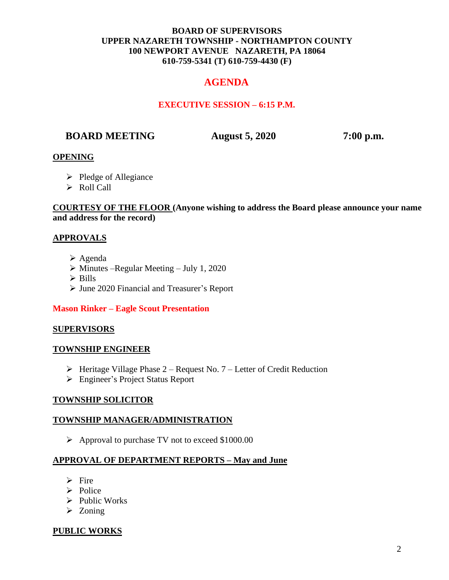### **BOARD OF SUPERVISORS UPPER NAZARETH TOWNSHIP - NORTHAMPTON COUNTY 100 NEWPORT AVENUE NAZARETH, PA 18064 610-759-5341 (T) 610-759-4430 (F)**

# **AGENDA**

## **EXECUTIVE SESSION – 6:15 P.M.**

## **BOARD MEETING August 5, 2020 7:00 p.m.**

### **OPENING**

- ➢ Pledge of Allegiance
- ➢ Roll Call

### **COURTESY OF THE FLOOR (Anyone wishing to address the Board please announce your name and address for the record)**

### **APPROVALS**

- ➢ Agenda
- $\triangleright$  Minutes –Regular Meeting July 1, 2020
- ➢ Bills
- ➢ June 2020 Financial and Treasurer's Report

#### **Mason Rinker – Eagle Scout Presentation**

#### **SUPERVISORS**

#### **TOWNSHIP ENGINEER**

- $\triangleright$  Heritage Village Phase 2 Request No. 7 Letter of Credit Reduction
- ➢ Engineer's Project Status Report

#### **TOWNSHIP SOLICITOR**

#### **TOWNSHIP MANAGER/ADMINISTRATION**

➢ Approval to purchase TV not to exceed \$1000.00

#### **APPROVAL OF DEPARTMENT REPORTS – May and June**

- ➢ Fire
- ➢ Police
- ➢ Public Works
- ➢ Zoning

#### **PUBLIC WORKS**